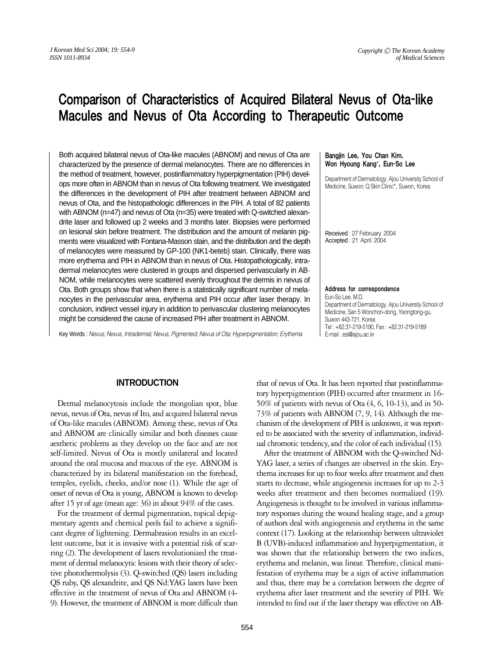# Comparison of Characteristics of Acquired Bilateral Nevus of Ota-like Macules and Nevus of Ota According to Therapeutic Outcome

Both acquired bilateral nevus of Ota-like macules (ABNOM) and nevus of Ota are characterized by the presence of dermal melanocytes. There are no differences in the method of treatment, however, postinflammatory hyperpigmentation (PIH) develops more often in ABNOM than in nevus of Ota following treatment. We investigated the differences in the development of PIH after treatment between ABNOM and nevus of Ota, and the histopathologic differences in the PIH. A total of 82 patients with ABNOM (n=47) and nevus of Ota (n=35) were treated with Q-switched alexandrite laser and followed up 2 weeks and 3 months later. Biopsies were performed on lesional skin before treatment. The distribution and the amount of melanin pigments were visualized with Fontana-Masson stain, and the distribution and the depth of melanocytes were measured by GP-100 (NK1-beteb) stain. Clinically, there was more erythema and PIH in ABNOM than in nevus of Ota. Histopathologically, intradermal melanocytes were clustered in groups and dispersed perivascularly in AB-NOM, while melanocytes were scattered evenly throughout the dermis in nevus of Ota. Both groups show that when there is a statistically significant number of melanocytes in the perivascular area, erythema and PIH occur after laser therapy. In conclusion, indirect vessel injury in addition to perivascular clustering melanocytes might be considered the cause of increased PIH after treatment in ABNOM.

Key Words : *Nevus; Nevus, Intradermal; Nevus, Pigmented; Nevus of Ota; Hyperpigmentation; Erythema*

#### Bangjin Lee, You Chan Kim, Won Hyoung Kang\*, Eun-So Lee

Department of Dermatology, Ajou University School of Medicine, Suwon; Q Skin Clinic\*, Suwon, Korea

Received : 27 February 2004 Accepted : 21 April 2004

#### Address for correspondence

Eun-So Lee, M.D. Department of Dermatology, Ajou University School of Medicine, San 5 Wonchon-dong, Yeongtong-gu, Suwon 443-721, Korea Tel : +82.31-219-5190, Fax : +82.31-219-5189 E-mail : esl@ajou.ac.kr

# **INTRODUCTION**

Dermal melanocytosis include the mongolian spot, blue nevus, nevus of Ota, nevus of Ito, and acquired bilateral nevus of Ota-like macules (ABNOM). Among these, nevus of Ota and ABNOM are clinically similar and both diseases cause aesthetic problems as they develop on the face and are not self-limited. Nevus of Ota is mostly unilateral and located around the oral mucosa and mucous of the eye. ABNOM is characterized by its bilateral manifestation on the forehead, temples, eyelids, cheeks, and/or nose (1). While the age of onset of nevus of Ota is young, ABNOM is known to develop after 15 yr of age (mean age: 36) in about 94% of the cases.

For the treatment of dermal pigmentation, topical depigmentary agents and chemical peels fail to achieve a significant degree of lightening. Dermabrasion results in an excellent outcome, but it is invasive with a potential risk of scarring (2). The development of lasers revolutionized the treatment of dermal melanocytic lesions with their theory of selective photothermolysis (3). Q-switched (QS) lasers including QS ruby, QS alexandrite, and QS Nd:YAG lasers have been effective in the treatment of nevus of Ota and ABNOM (4- 9). However, the treatment of ABNOM is more difficult than

that of nevus of Ota. It has been reported that postinflammatory hyperpigmention (PIH) occurred after treatment in 16- 50% of patients with nevus of Ota (4, 6, 10-13), and in 50- 73% of patients with ABNOM (7, 9, 14). Although the mechanism of the development of PIH is unknown, it was reported to be associated with the severity of inflammation, individual chromotic tendency, and the color of each individual (15).

After the treatment of ABNOM with the Q-switched Nd-YAG laser, a series of changes are observed in the skin. Erythema increases for up to four weeks after treatment and then starts to decrease, while angiogenesis increases for up to 2-3 weeks after treatment and then becomes normalized (19). Angiogenesis is thought to be involved in various inflammatory responses during the wound healing stage, and a group of authors deal with angiogenesis and erythema in the same context (17). Looking at the relationship between ultraviolet B (UVB)-induced inflammation and hyperpigmentation, it was shown that the relationship between the two indices, erythema and melanin, was linear. Therefore, clinical manifestation of erythema may be a sign of active inflammation and thus, there may be a correlation between the degree of erythema after laser treatment and the severity of PIH. We intended to find out if the laser therapy was effective on AB-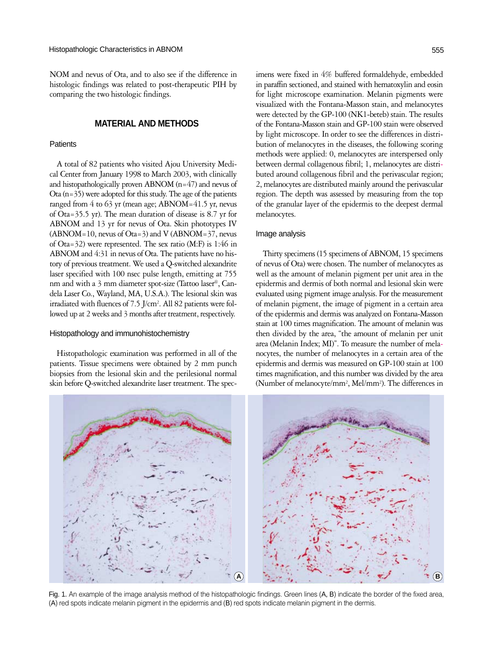NOM and nevus of Ota, and to also see if the difference in histologic findings was related to post-therapeutic PIH by comparing the two histologic findings.

## **MATERIAL AND METHODS**

#### **Patients**

A total of 82 patients who visited Ajou University Medical Center from January 1998 to March 2003, with clinically and histopathologically proven ABNOM  $(n=47)$  and nevus of Ota  $(n=35)$  were adopted for this study. The age of the patients ranged from 4 to 63 yr (mean age; ABNOM=41.5 yr, nevus of Ota=35.5 yr). The mean duration of disease is 8.7 yr for ABNOM and 13 yr for nevus of Ota. Skin phototypes IV  $(ABNOM=10,$  nevus of  $Ota=3$ ) and V  $(ABNOM=37,$  nevus of Ota=32) were represented. The sex ratio (M:F) is 1:46 in ABNOM and 4:31 in nevus of Ota. The patients have no history of previous treatment. We used a Q-switched alexandrite laser specified with 100 nsec pulse length, emitting at 755 nm and with a 3 mm diameter spot-size (Tattoo laser®, Candela Laser Co., Wayland, MA, U.S.A.). The lesional skin was irradiated with fluences of 7.5 J/cm<sup>2</sup>. All 82 patients were followed up at 2 weeks and 3 months after treatment, respectively.

## Histopathology and immunohistochemistry

Histopathologic examination was performed in all of the patients. Tissue specimens were obtained by 2 mm punch biopsies from the lesional skin and the perilesional normal skin before Q-switched alexandrite laser treatment. The specimens were fixed in 4% buffered formaldehyde, embedded in paraffin sectioned, and stained with hematoxylin and eosin for light microscope examination. Melanin pigments were visualized with the Fontana-Masson stain, and melanocytes were detected by the GP-100 (NK1-beteb) stain. The results of the Fontana-Masson stain and GP-100 stain were observed by light microscope. In order to see the differences in distribution of melanocytes in the diseases, the following scoring methods were applied: 0, melanocytes are interspersed only between dermal collagenous fibril; 1, melanocytes are distributed around collagenous fibril and the perivascular region; 2, melanocytes are distributed mainly around the perivascular region. The depth was assessed by measuring from the top of the granular layer of the epidermis to the deepest dermal melanocytes.

#### Image analysis

Thirty specimens (15 specimens of ABNOM, 15 specimens of nevus of Ota) were chosen. The number of melanocytes as well as the amount of melanin pigment per unit area in the epidermis and dermis of both normal and lesional skin were evaluated using pigment image analysis. For the measurement of melanin pigment, the image of pigment in a certain area of the epidermis and dermis was analyzed on Fontana-Masson stain at 100 times magnification. The amount of melanin was then divided by the area, "the amount of melanin per unit area (Melanin Index; MI)''. To measure the number of melanocytes, the number of melanocytes in a certain area of the epidermis and dermis was measured on GP-100 stain at 100 times magnification, and this number was divided by the area (Number of melanocyte/mm<sup>2</sup>, Mel/mm<sup>2</sup>). The differences in



Fig. 1. An example of the image analysis method of the histopathologic findings. Green lines (A, B) indicate the border of the fixed area, (A) red spots indicate melanin pigment in the epidermis and (B) red spots indicate melanin pigment in the dermis.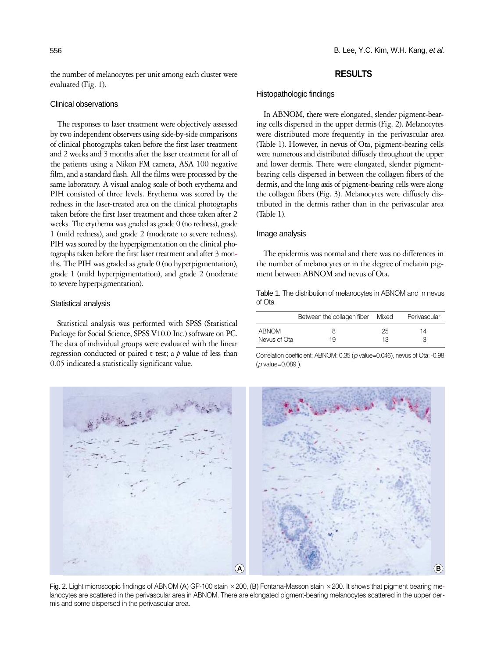the number of melanocytes per unit among each cluster were evaluated (Fig. 1).

## Clinical observations

The responses to laser treatment were objectively assessed by two independent observers using side-by-side comparisons of clinical photographs taken before the first laser treatment and 2 weeks and 3 months after the laser treatment for all of the patients using a Nikon FM camera, ASA 100 negative film, and a standard flash. All the films were processed by the same laboratory. A visual analog scale of both erythema and PIH consisted of three levels. Erythema was scored by the redness in the laser-treated area on the clinical photographs taken before the first laser treatment and those taken after 2 weeks. The erythema was graded as grade 0 (no redness), grade 1 (mild redness), and grade 2 (moderate to severe redness). PIH was scored by the hyperpigmentation on the clinical photographs taken before the first laser treatment and after 3 months. The PIH was graded as grade 0 (no hyperpigmentation), grade 1 (mild hyperpigmentation), and grade 2 (moderate to severe hyperpigmentation).

#### Statistical analysis

Statistical analysis was performed with SPSS (Statistical Package for Social Science, SPSS V10.0 Inc.) software on PC. The data of individual groups were evaluated with the linear regression conducted or paired t test; a *p* value of less than 0.05 indicated a statistically significant value.

# **RESULTS**

#### Histopathologic findings

In ABNOM, there were elongated, slender pigment-bearing cells dispersed in the upper dermis (Fig. 2). Melanocytes were distributed more frequently in the perivascular area (Table 1). However, in nevus of Ota, pigment-bearing cells were numerous and distributed diffusely throughout the upper and lower dermis. There were elongated, slender pigmentbearing cells dispersed in between the collagen fibers of the dermis, and the long axis of pigment-bearing cells were along the collagen fibers (Fig. 3). Melanocytes were diffusely distributed in the dermis rather than in the perivascular area (Table 1).

#### Image analysis

The epidermis was normal and there was no differences in the number of melanocytes or in the degree of melanin pigment between ABNOM and nevus of Ota.

Table 1. The distribution of melanocytes in ABNOM and in nevus of Ota

|              | Between the collagen fiber Mixed | Perivascular |    |
|--------------|----------------------------------|--------------|----|
| ABNOM        | Χ                                | 25           | 14 |
| Nevus of Ota | 19                               | 13           |    |

Correlation coefficient; ABNOM: 0.35 (*p* value=0.046), nevus of Ota: -0.98 (*p* value=0.089 ).



Fig. 2. Light microscopic findings of ABNOM (A) GP-100 stain  $\times$  200, (B) Fontana-Masson stain  $\times$  200. It shows that pigment bearing melanocytes are scattered in the perivascular area in ABNOM. There are elongated pigment-bearing melanocytes scattered in the upper dermis and some dispersed in the perivascular area.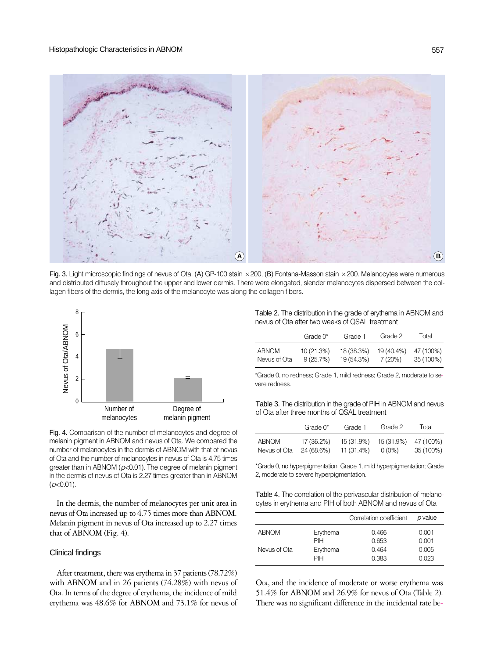

Fig. 3. Light microscopic findings of nevus of Ota. (A) GP-100 stain ×200, (B) Fontana-Masson stain ×200. Melanocytes were numerous and distributed diffusely throughout the upper and lower dermis. There were elongated, slender melanocytes dispersed between the collagen fibers of the dermis, the long axis of the melanocyte was along the collagen fibers.



Fig. 4. Comparison of the number of melanocytes and degree of melanin pigment in ABNOM and nevus of Ota. We compared the number of melanocytes in the dermis of ABNOM with that of nevus of Ota and the number of melanocytes in nevus of Ota is 4.75 times greater than in ABNOM (*p*<0.01). The degree of melanin pigment in the dermis of nevus of Ota is 2.27 times greater than in ABNOM  $(p<0.01)$ .

In the dermis, the number of melanocytes per unit area in nevus of Ota increased up to 4.75 times more than ABNOM. Melanin pigment in nevus of Ota increased up to 2.27 times that of ABNOM (Fig. 4).

## Clinical findings

After treatment, there was erythema in 37 patients (78.72%) with ABNOM and in 26 patients (74.28%) with nevus of Ota. In terms of the degree of erythema, the incidence of mild erythema was 48.6% for ABNOM and 73.1% for nevus of

Table 2. The distribution in the grade of erythema in ABNOM and nevus of Ota after two weeks of QSAL treatment

|              | Grade $0^*$  | Grade 1    | Grade 2    | Total     |
|--------------|--------------|------------|------------|-----------|
| ABNOM        | $10(21.3\%)$ | 18 (38.3%) | 19 (40.4%) | 47 (100%) |
| Nevus of Ota | $9(25.7\%)$  | 19 (54.3%) | 7(20%)     | 35 (100%) |

\*Grade 0, no redness; Grade 1, mild redness; Grade 2, moderate to severe redness.

Table 3. The distribution in the grade of PIH in ABNOM and nevus of Ota after three months of QSAL treatment

|                       | Grade $0^*$              | Grade 1                    | Grade 2                | Total                  |
|-----------------------|--------------------------|----------------------------|------------------------|------------------------|
| ABNOM<br>Nevus of Ota | 17 (36.2%)<br>24 (68.6%) | 15 (31.9%)<br>$11(31.4\%)$ | 15 (31.9%)<br>$0(0\%)$ | 47 (100%)<br>35 (100%) |

\*Grade 0, no hyperpigmentation; Grade 1, mild hyperpigmentation; Grade 2, moderate to severe hyperpigmentation.

Table 4. The correlation of the perivascular distribution of melanocytes in erythema and PIH of both ABNOM and nevus of Ota

|              |          | Correlation coefficient | p value |
|--------------|----------|-------------------------|---------|
| <b>ABNOM</b> | Erythema | 0.466                   | 0.001   |
|              | PIH      | 0.653                   | 0.001   |
| Nevus of Ota | Erythema | 0.464                   | 0.005   |
|              | PIH      | 0.383                   | 0.023   |

Ota, and the incidence of moderate or worse erythema was 51.4% for ABNOM and 26.9% for nevus of Ota (Table 2). There was no significant difference in the incidental rate be-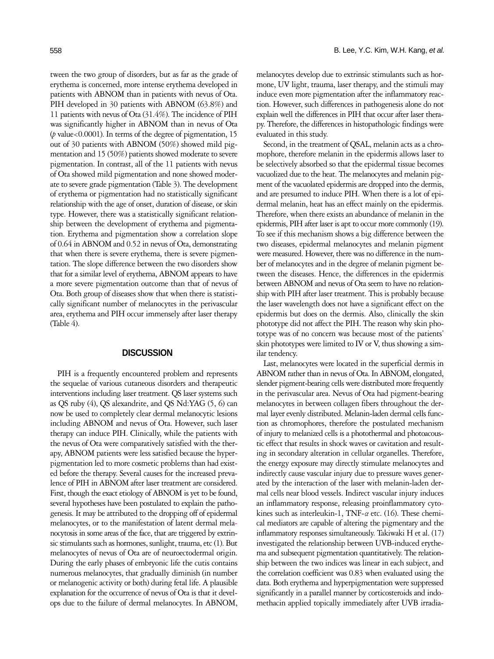tween the two group of disorders, but as far as the grade of erythema is concerned, more intense erythema developed in patients with ABNOM than in patients with nevus of Ota. PIH developed in 30 patients with ABNOM (63.8%) and 11 patients with nevus of Ota (31.4%). The incidence of PIH was significantly higher in ABNOM than in nevus of Ota (*p* value<0.0001). In terms of the degree of pigmentation, 15 out of 30 patients with ABNOM (50%) showed mild pigmentation and 15 (50%) patients showed moderate to severe pigmentation. In contrast, all of the 11 patients with nevus of Ota showed mild pigmentation and none showed moderate to severe grade pigmentation (Table 3). The development of erythema or pigmentation had no statistically significant relationship with the age of onset, duration of disease, or skin type. However, there was a statistically significant relationship between the development of erythema and pigmentation. Erythema and pigmentation show a correlation slope of 0.64 in ABNOM and 0.52 in nevus of Ota, demonstrating that when there is severe erythema, there is severe pigmentation. The slope difference between the two disorders show that for a similar level of erythema, ABNOM appears to have a more severe pigmentation outcome than that of nevus of Ota. Both group of diseases show that when there is statistically significant number of melanocytes in the perivascular area, erythema and PIH occur immensely after laser therapy (Table 4).

#### **DISCUSSION**

PIH is a frequently encountered problem and represents the sequelae of various cutaneous disorders and therapeutic interventions including laser treatment. QS laser systems such as QS ruby (4), QS alexandrite, and QS Nd:YAG (5, 6) can now be used to completely clear dermal melanocytic lesions including ABNOM and nevus of Ota. However, such laser therapy can induce PIH. Clinically, while the patients with the nevus of Ota were comparatively satisfied with the therapy, ABNOM patients were less satisfied because the hyperpigmentation led to more cosmetic problems than had existed before the therapy. Several causes for the increased prevalence of PIH in ABNOM after laser treatment are considered. First, though the exact etiology of ABNOM is yet to be found, several hypotheses have been postulated to explain the pathogenesis. It may be attributed to the dropping off of epidermal melanocytes, or to the manifestation of latent dermal melanocytosis in some areas of the face, that are triggered by extrinsic stimulants such as hormones, sunlight, trauma, etc (1). But melanocytes of nevus of Ota are of neuroectodermal origin. During the early phases of embryonic life the cutis contains numerous melanocytes, that gradually diminish (in number or melanogenic activity or both) during fetal life. A plausible explanation for the occurrence of nevus of Ota is that it develops due to the failure of dermal melanocytes. In ABNOM, melanocytes develop due to extrinsic stimulants such as hormone, UV light, trauma, laser therapy, and the stimuli may induce even more pigmentation after the inflammatory reaction. However, such differences in pathogenesis alone do not explain well the differences in PIH that occur after laser therapy. Therefore, the differences in histopathologic findings were evaluated in this study.

Second, in the treatment of QSAL, melanin acts as a chromophore, therefore melanin in the epidermis allows laser to be selectively absorbed so that the epidermal tissue becomes vacuolized due to the heat. The melanocytes and melanin pigment of the vacuolated epidermis are dropped into the dermis, and are presumed to induce PIH. When there is a lot of epidermal melanin, heat has an effect mainly on the epidermis. Therefore, when there exists an abundance of melanin in the epidermis, PIH after laser is apt to occur more commonly (19). To see if this mechanism shows a big difference between the two diseases, epidermal melanocytes and melanin pigment were measured. However, there was no difference in the number of melanocytes and in the degree of melanin pigment between the diseases. Hence, the differences in the epidermis between ABNOM and nevus of Ota seem to have no relationship with PIH after laser treatment. This is probably because the laser wavelength does not have a significant effect on the epidermis but does on the dermis. Also, clinically the skin phototype did not affect the PIH. The reason why skin phototype was of no concern was because most of the patients' skin phototypes were limited to IV or V, thus showing a similar tendency.

Last, melanocytes were located in the superficial dermis in ABNOM rather than in nevus of Ota. In ABNOM, elongated, slender pigment-bearing cells were distributed more frequently in the perivascular area. Nevus of Ota had pigment-bearing melanocytes in between collagen fibers throughout the dermal layer evenly distributed. Melanin-laden dermal cells function as chromophores, therefore the postulated mechanism of injury to melanized cells is a photothermal and photoacoustic effect that results in shock waves or cavitation and resulting in secondary alteration in cellular organelles. Therefore, the energy exposure may directly stimulate melanocytes and indirectly cause vascular injury due to pressure waves generated by the interaction of the laser with melanin-laden dermal cells near blood vessels. Indirect vascular injury induces an inflammatory response, releasing proinflammatory cytokines such as interleukin-1, TNF- $\alpha$  etc. (16). These chemical mediators are capable of altering the pigmentary and the inflammatory responses simultaneously. Takiwaki H et al. (17) investigated the relationship between UVB-induced erythema and subsequent pigmentation quantitatively. The relationship between the two indices was linear in each subject, and the correlation coefficient was 0.83 when evaluated using the data. Both erythema and hyperpigmentation were suppressed significantly in a parallel manner by corticosteroids and indomethacin applied topically immediately after UVB irradia